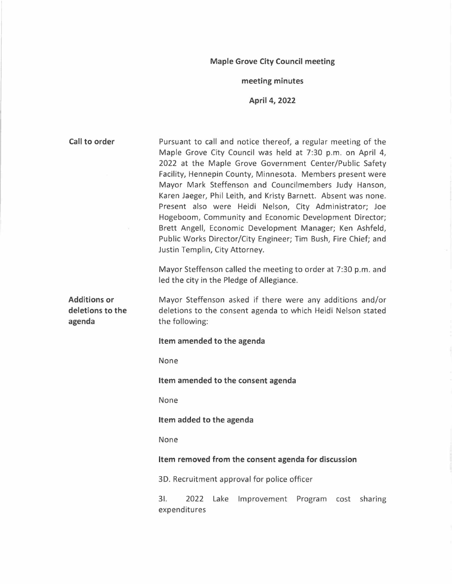# **Maple Grove City Council meeting**

# **meeting minutes**

**April 4, 2022** 

| Call to order                                     | Pursuant to call and notice thereof, a regular meeting of the<br>Maple Grove City Council was held at 7:30 p.m. on April 4,<br>2022 at the Maple Grove Government Center/Public Safety<br>Facility, Hennepin County, Minnesota. Members present were<br>Mayor Mark Steffenson and Councilmembers Judy Hanson,<br>Karen Jaeger, Phil Leith, and Kristy Barnett. Absent was none.<br>Present also were Heidi Nelson, City Administrator; Joe<br>Hogeboom, Community and Economic Development Director;<br>Brett Angell, Economic Development Manager; Ken Ashfeld,<br>Public Works Director/City Engineer; Tim Bush, Fire Chief; and<br>Justin Templin, City Attorney. |  |  |  |  |  |  |  |
|---------------------------------------------------|----------------------------------------------------------------------------------------------------------------------------------------------------------------------------------------------------------------------------------------------------------------------------------------------------------------------------------------------------------------------------------------------------------------------------------------------------------------------------------------------------------------------------------------------------------------------------------------------------------------------------------------------------------------------|--|--|--|--|--|--|--|
|                                                   | Mayor Steffenson called the meeting to order at 7:30 p.m. and<br>led the city in the Pledge of Allegiance.                                                                                                                                                                                                                                                                                                                                                                                                                                                                                                                                                           |  |  |  |  |  |  |  |
| <b>Additions or</b><br>deletions to the<br>agenda | Mayor Steffenson asked if there were any additions and/or<br>deletions to the consent agenda to which Heidi Nelson stated<br>the following:                                                                                                                                                                                                                                                                                                                                                                                                                                                                                                                          |  |  |  |  |  |  |  |
|                                                   | Item amended to the agenda                                                                                                                                                                                                                                                                                                                                                                                                                                                                                                                                                                                                                                           |  |  |  |  |  |  |  |
|                                                   | None                                                                                                                                                                                                                                                                                                                                                                                                                                                                                                                                                                                                                                                                 |  |  |  |  |  |  |  |
|                                                   | Item amended to the consent agenda                                                                                                                                                                                                                                                                                                                                                                                                                                                                                                                                                                                                                                   |  |  |  |  |  |  |  |
|                                                   | None                                                                                                                                                                                                                                                                                                                                                                                                                                                                                                                                                                                                                                                                 |  |  |  |  |  |  |  |
|                                                   | Item added to the agenda                                                                                                                                                                                                                                                                                                                                                                                                                                                                                                                                                                                                                                             |  |  |  |  |  |  |  |
|                                                   | None                                                                                                                                                                                                                                                                                                                                                                                                                                                                                                                                                                                                                                                                 |  |  |  |  |  |  |  |
|                                                   | Item removed from the consent agenda for discussion                                                                                                                                                                                                                                                                                                                                                                                                                                                                                                                                                                                                                  |  |  |  |  |  |  |  |
|                                                   | 3D. Recruitment approval for police officer                                                                                                                                                                                                                                                                                                                                                                                                                                                                                                                                                                                                                          |  |  |  |  |  |  |  |
|                                                   | 3I.<br>2022<br>Lake<br>Improvement<br>Program<br>sharing<br>cost<br>expenditures                                                                                                                                                                                                                                                                                                                                                                                                                                                                                                                                                                                     |  |  |  |  |  |  |  |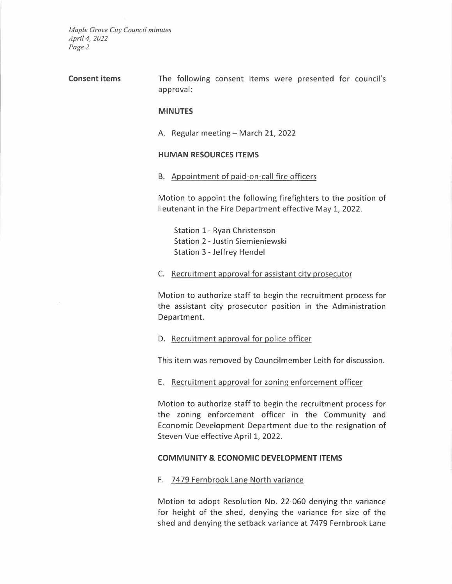**Consent items** The following consent items were presented for council's approval:

#### **MINUTES**

A. Regular meeting- March 21, 2022

#### **HUMAN RESOURCES ITEMS**

B. Appointment of paid-on-call fire officers

Motion to appoint the following firefighters to the position of lieutenant in the Fire Department effective May 1, 2022.

Station 1-Ryan Christenson Station 2- Justin Siemieniewski Station 3-Jeffrey Hendel

C. Recruitment approval for assistant city prosecutor

Motion to authorize staff to begin the recruitment process for the assistant city prosecutor position in the Administration Department.

D. Recruitment approval for police officer

This item was removed by Councilmember Leith for discussion.

E. Recruitment approval for zoning enforcement officer

Motion to authorize staff to begin the recruitment process for the zoning enforcement officer in the Community and Economic Development Department due to the resignation of Steven Vue effective April 1, 2022.

#### **COMMUNITY & ECONOMIC DEVELOPMENT ITEMS**

F. 7479 Fernbrook Lane North variance

Motion to adopt Resolution No. 22-060 denying the variance for height of the shed, denying the variance for size of the shed and denying the setback variance at 7479 Fernbrook Lane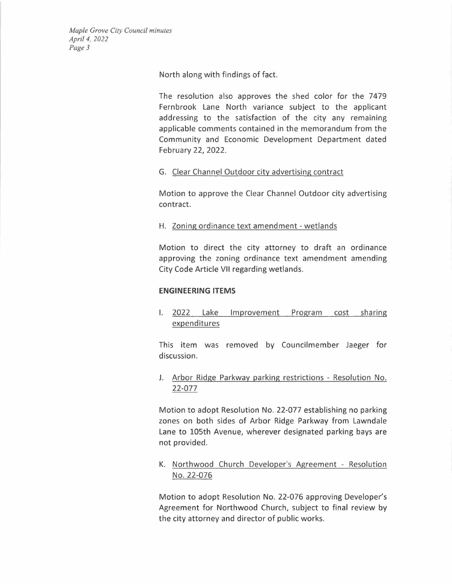North along with findings of fact.

The resolution also approves the shed color for the 7479 Fernbrook Lane North variance subject to the applicant addressing to the satisfaction of the city any remaining applicable comments contained in the memorandum from the Community and Economic Development Department dated February 22, 2022.

# G. Clear Channel Outdoor city advertising contract

Motion to approve the Clear Channel Outdoor city advertising contract.

# H. Zoning ordinance text amendment - wetlands

Motion to direct the city attorney to draft an ordinance approving the zoning ordinance text amendment amending City Code Article VII regarding wetlands.

### **ENGINEERING ITEMS**

I. 2022 Lake Improvement Program cost sharing expenditures

This item was removed by Councilmember Jaeger for discussion.

J. Arbor Ridge Parkway parking restrictions - Resolution No. 22-077

Motion to adopt Resolution No. 22-077 establishing no parking zones on both sides of Arbor Ridge Parkway from Lawndale Lane to 105th Avenue, wherever designated parking bays are not provided.

K. Northwood Church Developer's Agreement - Resolution No. 22-076

Motion to adopt Resolution No. 22-076 approving Developer's Agreement for Northwood Church, subject to final review by the city attorney and director of public works.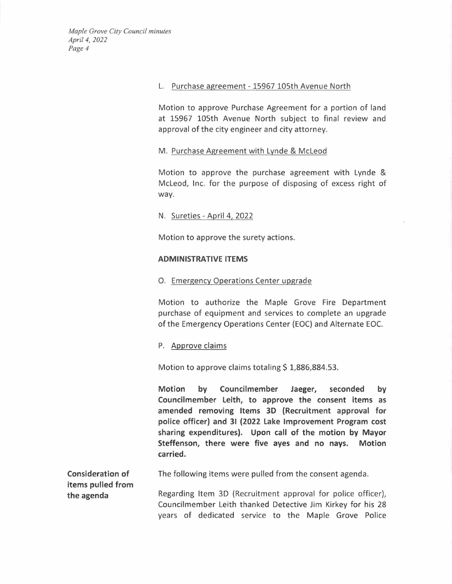# L. Purchase agreement- 15967 105th Avenue North

Motion to approve Purchase Agreement for a portion of land at 15967 105th Avenue North subject to final review and approval of the city engineer and city attorney.

# M. Purchase Agreement with Lynde & McLeod

Motion to approve the purchase agreement with Lynde & McLeod, Inc. for the purpose of disposing of excess right of way.

# N. Sureties - April 4, 2022

Motion to approve the surety actions.

#### **ADMINISTRATIVE ITEMS**

# 0. Emergency Operations Center upgrade

Motion to authorize the Maple Grove Fire Department purchase of equipment and services to complete an upgrade of the Emergency Operations Center (EOC) and Alternate EOC.

### P. Approve claims

Motion to approve claims totaling  $$1,886,884.53$ .

**Motion by Councilmember Jaeger, seconded by Councilmember Leith, to approve the consent items as amended removing ltems 3D (Recruitment approval for police officer) and 3l (2022 Lake Improvement Program cost sharing expenditures). Upon call of the motion by Mayor Steffenson, there were five ayes and no nays. Motion carried.** 

**Consideration of items pulled from the agenda**  The following items were pulled from the consent agenda.

Regarding Item 3D (Recruitment approval for police officer), Councilmember Leith thanked Detective Jim Kirkey for his 28 years of dedicated service to the Maple Grove Police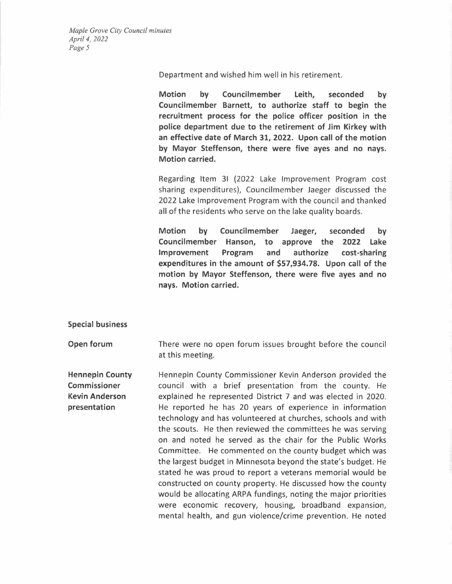Department and wished him well in his retirement.

**Motion by Councilmember Leith, seconded by Councilmember Barnett, to authorize staff to begin the recruitment process for the police officer position in the police department due to the retirement of Jim Kirkey with an effective date of March 31, 2022. Upon call of the motion by Mayor Steffenson, there were five ayes and no nays. Motion carried.** 

Regarding Item 31 {2022 Lake Improvement Program cost sharing expenditures), Councilmember Jaeger discussed the 2022 Lake Improvement Program with the council and thanked all of the residents who serve on the lake quality boards.

**Motion by Councilmember Jaeger, seconded by Councilmember Hanson, to approve the 2022 Lake Improvement Program and authorize cost-sharing expenditures in the amount of \$57,934.78. Upon call of the motion by Mayor Steffenson, there were five ayes and no nays. Motion carried.** 

**Special business** 

**Open forum**  There were no open forum issues brought before the council at this meeting.

**Hennepin County Commissioner Kevin Anderson presentation**  Hennepin County Commissioner Kevin Anderson provided the council with a brief presentation from the county. He explained he represented District 7 and was elected in 2020. He reported he has 20 years of experience in information technology and has volunteered at churches, schools and with the scouts. He then reviewed the committees he was serving on and noted he served as the chair for the Public Works Committee. He commented on the county budget which was the largest budget in Minnesota beyond the state's budget. He stated he was proud to report a veterans memorial would be constructed on county property. He discussed how the county would be allocating ARPA fundings, noting the major priorities were economic recovery, housing, broadband expansion, mental health, and gun violence/crime prevention. He noted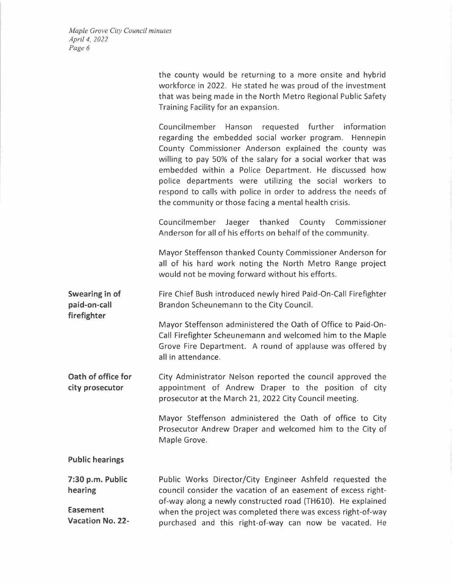> the county would be returning to a more onsite and hybrid workforce in 2022. He stated he was proud of the investment that was being made in the North Metro Regional Public Safety Training Facility for an expansion.

> Councilmember Hanson requested further information regarding the embedded social worker program. Hennepin County Commissioner Anderson explained the county was willing to pay 50% of the salary for a social worker that was embedded within a Police Department. He discussed how police departments were utilizing the social workers to respond to calls with police in order to address the needs of the community or those facing a mental health crisis.

> Councilmember Jaeger thanked County Commissioner Anderson for all of his efforts on behalf of the community.

> Mayor Steffenson thanked County Commissioner Anderson for all of his hard work noting the North Metro Range project would not be moving forward without his efforts.

**Swearing in of paid-on-call**  Fire Chief Bush introduced newly hired Paid-On-Call Firefighter Brandon Scheunemann to the City Council.

> Mayor Steffenson administered the Oath of Office to Paid-On-Call Firefighter Scheunemann and welcomed him to the Maple Grove Fire Department. A round of applause was offered by all in attendance.

**Oath of office for city prosecutor**  City Administrator Nelson reported the council approved the appointment of Andrew Draper to the position of city prosecutor at the March 21, 2022 City Council meeting.

> Mayor Steffenson administered the Oath of office to City Prosecutor Andrew Draper and welcomed him to the City of Maple Grove.

**Public hearings** 

**firefighter** 

**7:30 p.m. Public hearing** 

**Easement Vacation No. 22-**  Public Works Director/City Engineer Ashfeld requested the council consider the vacation of an easement of excess rightof-way along a newly constructed road (TH610). He explained when the project was completed there was excess right-of-way purchased and this right-of-way can now be vacated. He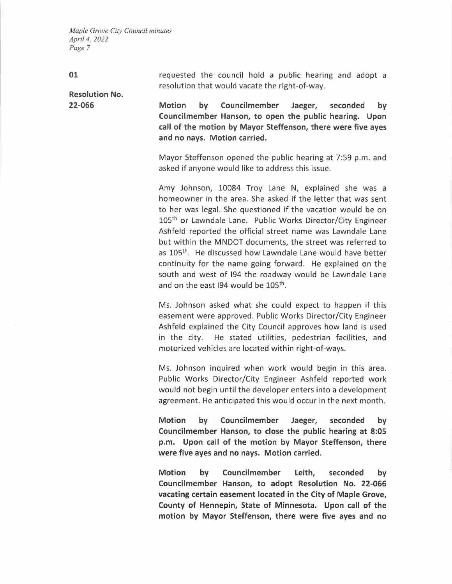| requested the council hold a public hearing and adopt a |  |  |  |  |  |
|---------------------------------------------------------|--|--|--|--|--|
| resolution that would vacate the right-of-way.          |  |  |  |  |  |

**Resolution No. 22-066** 

**01** 

**Motion by Councilmember Jaeger, seconded by Councilmember Hanson, to open the public hearing. Upon call of the motion by Mayor Steffenson, there were five ayes and no nays. Motion carried.** 

Mayor Steffenson opened the public hearing at 7:59 p.m. and asked if anyone would like to address this issue.

Amy Johnson, 10084 Troy Lane **N,** explained she was a homeowner in the area. She asked if the letter that was sent to her was legal. She questioned if the vacation would be on 105<sup>th</sup> or Lawndale Lane. Public Works Director/City Engineer Ashfeld reported the official street name was Lawndale Lane but within the MNDOT documents, the street was referred to as 105<sup>th</sup>. He discussed how Lawndale Lane would have better continuity for the name going forward. He explained on the south and west of 194 the roadway would be Lawndale Lane and on the east  $194$  would be  $105<sup>th</sup>$ .

Ms. Johnson asked what she could expect to happen if this easement were approved. Public Works Director/City Engineer Ashfeld explained the City Council approves how land is used in the city. He stated utilities, pedestrian facilities, and motorized vehicles are located within right-of-ways.

Ms. Johnson inquired when work would begin in this area. Public Works Director/City Engineer Ashfeld reported work would not begin until the developer enters into a development agreement. He anticipated this would occur in the next month.

**Motion by Councilmember Jaeger, seconded by Councilmember Hanson, to close the public hearing at 8:05 p.m. Upon call of the motion by Mayor Steffenson, there were five ayes and no nays. Motion carried.** 

**Motion by Councilmember Leith, seconded by Councilmember Hanson, to adopt Resolution No. 22-066 vacating certain easement located in the City of Maple Grove, County of Hennepin, State of Minnesota. Upon call of the motion by Mayor Steffenson, there were five ayes and no**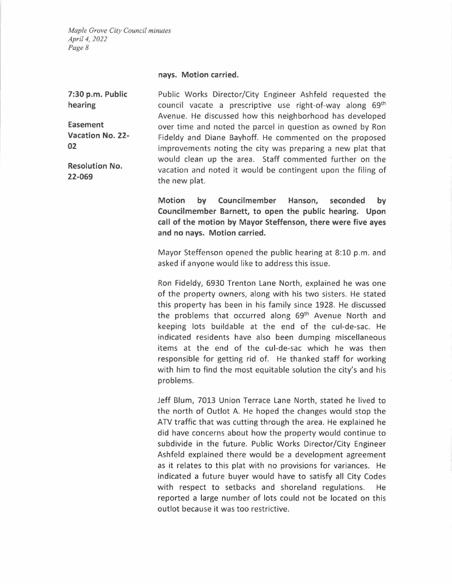**nays. Motion carried.** 

**7:30 p.m. Public hearing Easement Vacation No. 22- 02 Resolution No. 22-069**  Public Works Director/City Engineer Ashfeld requested the council vacate a prescriptive use right-of-way along 69<sup>th</sup> Avenue. He discussed how this neighborhood has developed over time and noted the parcel in question as owned by Ron Fideldy and Diane Bayhoff. He commented on the proposed improvements noting the city was preparing a new plat that would clean up the area. Staff commented further on the vacation and noted it would be contingent upon the filing of the new plat.

> **Motion by Councilmember Hanson, seconded by Councilmember Barnett, to open the public hearing. Upon call of the motion by Mayor Steffenson, there were five ayes and no nays. Motion carried.**

> Mayor Steffenson opened the public hearing at 8:10 p.m. and asked if anyone would like to address this issue.

> Ron Fideldy, 6930 Trenton Lane North, explained he was one of the property owners, along with his two sisters. He stated this property has been in his family since 1928. He discussed the problems that occurred along 69<sup>th</sup> Avenue North and keeping lots buildable at the end of the cul-de-sac. He indicated residents have also been dumping miscellaneous items at the end of the cul-de-sac which he was then responsible for getting rid of. He thanked staff for working with him to find the most equitable solution the city's and his problems.

> Jeff Blum, 7013 Union Terrace Lane North, stated he lived to the north of Outlot A. He hoped the changes would stop the ATV traffic that was cutting through the area. He explained he did have concerns about how the property would continue to subdivide in the future. Public Works Director/City Engineer Ashfeld explained there would be a development agreement as it relates to this plat with no provisions for variances. He indicated a future buyer would have to satisfy all City Codes with respect to setbacks and shoreland regulations. He reported a large number of lots could not be located on this outlot because it was too restrictive.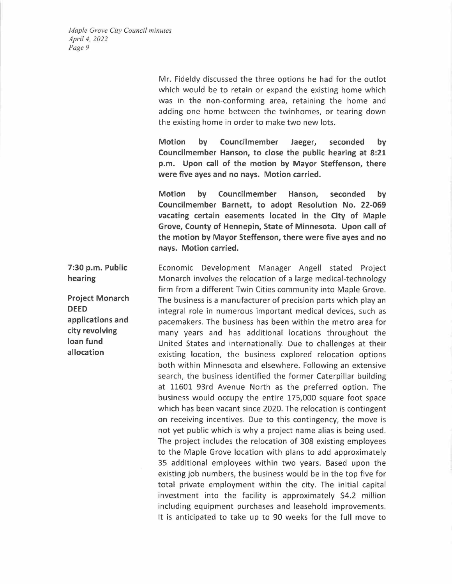Mr. Fideldy discussed the three options he had for the outlot which would be to retain or expand the existing home which was in the non-conforming area, retaining the home and adding one home between the twinhomes, or tearing down the existing home in order to make two new lots.

**Motion by Councilmember Jaeger, seconded by Councilmember Hanson, to close the public hearing at 8:21 p.m. Upon call of the motion by Mayor Steffenson, there were five ayes and no nays. Motion carried.** 

**Motion by Councilmember Hanson, seconded by Councilmember Barnett, to adopt Resolution No. 22-069 vacating certain easements located in the City of Maple Grove, County of Hennepin, State of Minnesota. Upon call of the motion by Mayor Steffenson, there were five ayes and no nays. Motion carried.** 

**7:30 p.m. Public loan fund allocation**  Economic Development Manager Angell stated Project Monarch involves the relocation of a large medical-technology firm from a different Twin Cities community into Maple Grove. The business is a manufacturer of precision parts which play an integral role in numerous important medical devices, such as pacemakers. The business has been within the metro area for many years and has additional locations throughout the United States and internationally. Due to challenges at their existing location, the business explored relocation options both within Minnesota and elsewhere. Following an extensive search, the business identified the former Caterpillar building at 11601 93rd Avenue North as the preferred option. The business would occupy the entire 175,000 square foot space which has been vacant since 2020. The relocation is contingent on receiving incentives. Due to this contingency, the move is not yet public which is why a project name alias is being used. The project includes the relocation of 308 existing employees to the Maple Grove location with plans to add approximately 35 additional employees within two years. Based upon the existing job numbers, the business would be in the top five for total private employment within the city. The initial capital investment into the facility is approximately \$4.2 million including equipment purchases and leasehold improvements. It is anticipated to take up to 90 weeks for the full move to

**hearing Project Monarch DEED applications and city revolving**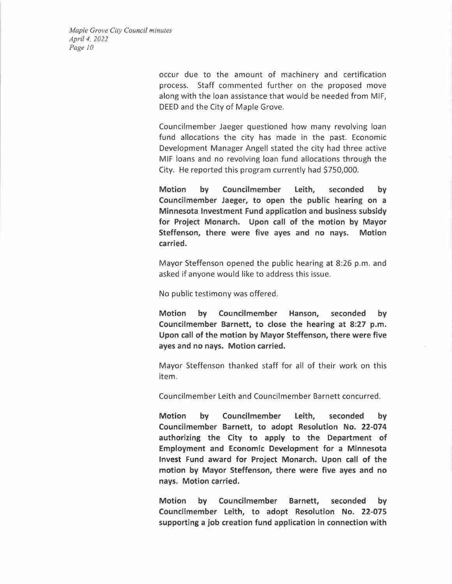occur due to the amount of machinery and certification process. Staff commented further on the proposed move along with the loan assistance that would be needed from MIF, DEED and the City of Maple Grove.

Councilmember Jaeger questioned how many revolving loan fund allocations the city has made in the past. Economic Development Manager Angell stated the city had three active MIF loans and no revolving loan fund allocations through the City. He reported this program currently had \$750,000.

**Motion by Councilmember Leith, seconded by Councilmember Jaeger, to open the public hearing on a Minnesota Investment Fund application and business subsidy for Project Monarch. Upon call of the motion by Mayor Steffenson, there were five ayes and no nays. Motion carried.** 

Mayor Steffenson opened the public hearing at 8:26 p.m. and asked if anyone would like to address this issue.

No public testimony was offered.

**Motion by Councilmember Hanson, seconded by Councilmember Barnett, to close the hearing at 8:27 p.m. Upon call of the motion by Mayor Steffenson, there were five ayes and no nays. Motion carried.** 

Mayor Steffenson thanked staff for all of their work on this item.

Councilmember Leith and Councilmember Barnett concurred.

**Motion by Councilmember Leith, seconded by Councilmember Barnett, to adopt Resolution No. 22-074 authorizing the City to apply to the Department of Employment and Economic Development for a Minnesota Invest Fund award for Project Monarch. Upon call of the motion by Mayor Steffenson, there were five ayes and no nays. Motion carried.** 

**Motion by Councilmember Barnett, seconded by Councilmember Leith, to adopt Resolution No. 22-075 supporting a job creation fund application in connection with**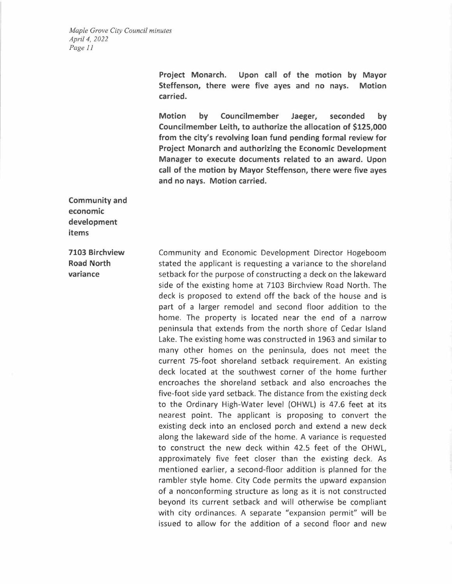> **Project Monarch. Upon call of the motion by Mayor Steffenson, there were five ayes and no nays. Motion carried.**

> **Motion by Councilmember Jaeger, seconded by Councilmember Leith, to authorize the allocation of \$125,000 from the city's revolving loan fund pending formal review for Project Monarch and authorizing the Economic Development Manager to execute documents related to an award. Upon call of the motion by Mayor Steffenson, there were five ayes and no nays. Motion carried.**

**Community and economic development items** 

**7103 Birchview Road North variance** 

Community and Economic Development Director Hogeboom stated the applicant is requesting a variance to the shoreland setback for the purpose of constructing a deck on the lakeward side of the existing home at 7103 Birchview Road North. The deck is proposed to extend off the back of the house and is part of a larger remodel and second floor addition to the home. The property is located near the end of a narrow peninsula that extends from the north shore of Cedar Island Lake. The existing home was constructed in 1963 and similar to many other homes on the peninsula, does not meet the current 75-foot shoreland setback requirement. An existing deck located at the southwest corner of the home further encroaches the shoreland setback and also encroaches the five-foot side yard setback. The distance from the existing deck to the Ordinary High-Water level (OHWL) is 47.6 feet at its nearest point. The applicant is proposing to convert the existing deck into an enclosed porch and extend a new deck along the lakeward side of the home. A variance is requested to construct the new deck within 42.5 feet of the OHWL, approximately five feet closer than the existing deck. As mentioned earlier, a second-floor addition is planned for the rambler style home. City Code permits the upward expansion of a nonconforming structure as long as it is not constructed beyond its current setback and will otherwise be compliant with city ordinances. A separate "expansion permit" will be issued to allow for the addition of a second floor and new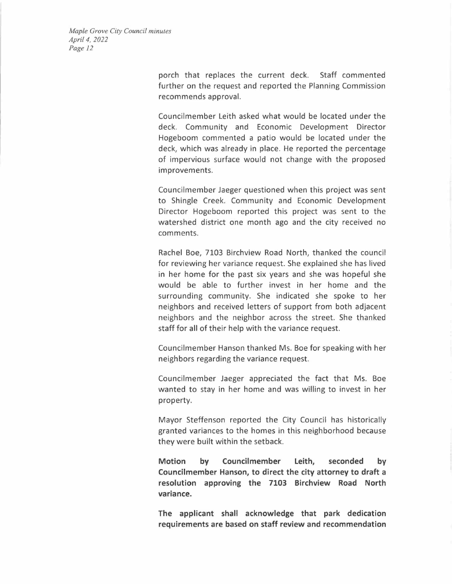> porch that replaces the current deck. Staff commented further on the request and reported the Planning Commission recommends approval.

> Councilmember Leith asked what would be located under the deck. Community and Economic Development Director Hogeboom commented a patio would be located under the deck, which was already in place. He reported the percentage of impervious surface would not change with the proposed improvements.

> Councilmember Jaeger questioned when this project was sent to Shingle Creek. Community and Economic Development Director Hogeboom reported this project was sent to the watershed district one month ago and the city received no comments.

> Rachel Boe, 7103 Birchview Road North, thanked the council for reviewing her variance request. She explained she has lived in her home for the past six years and she was hopeful she would be able to further invest in her home and the surrounding community. She indicated she spoke to her neighbors and received letters of support from both adjacent neighbors and the neighbor across the street. She thanked staff for all of their help with the variance request.

> Councilmember Hanson thanked Ms. Boe for speaking with her neighbors regarding the variance request.

> Councilmember Jaeger appreciated the fact that Ms. Boe wanted to stay in her home and was willing to invest in her property.

> Mayor Steffenson reported the City Council has historically granted variances to the homes in this neighborhood because they were built within the setback.

> **Motion by Councilmember Leith, seconded by Councilmember Hanson, to direct the city attorney to draft a resolution approving the 7103 Birchview Road North variance.**

> **The applicant shall acknowledge that park dedication requirements are based on staff review and recommendation**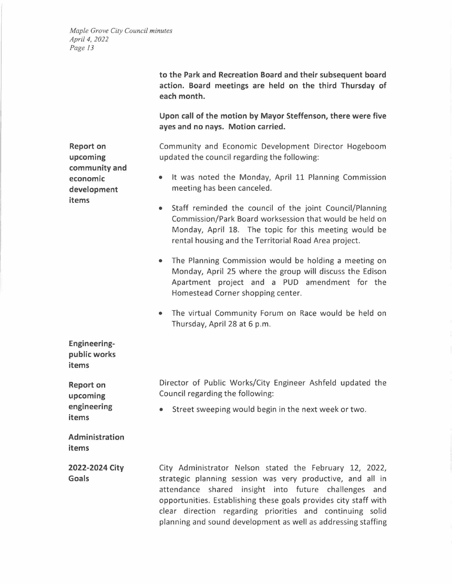**to the Park and Recreation Board and their subsequent board action. Board meetings are held on the third Thursday of each month. Report on upcoming community and economic development items Engineeringpublic works items Report on upcoming engineering items Administration items 2022-2024 City Goals Upon call of the motion by Mayor Steffenson, there were five ayes and no nays. Motion carried.**  Community and Economic Development Director Hogeboom updated the council regarding the following: • It was noted the Monday, April 11 Planning Commission meeting has been canceled. • Staff reminded the council of the joint Council/Planning Commission/Park Board worksession that would be held on Monday, April 18. The topic for this meeting would be rental housing and the Territorial Road Area project. • The Planning Commission would be holding a meeting on Monday, April 25 where the group will discuss the Edison Apartment project and a PUD amendment for the Homestead Corner shopping center. • The virtual Community Forum on Race would be held on Thursday, April 28 at 6 p.m. Director of Public Works/City Engineer Ashfeld updated the Council regarding the following: • Street sweeping would begin in the next week or two. City Administrator Nelson stated the February 12, 2022, strategic planning session was very productive, and all in attendance shared insight into future challenges and opportunities. Establishing these goals provides city staff with clear direction regarding priorities and continuing solid planning and sound development as well as addressing staffing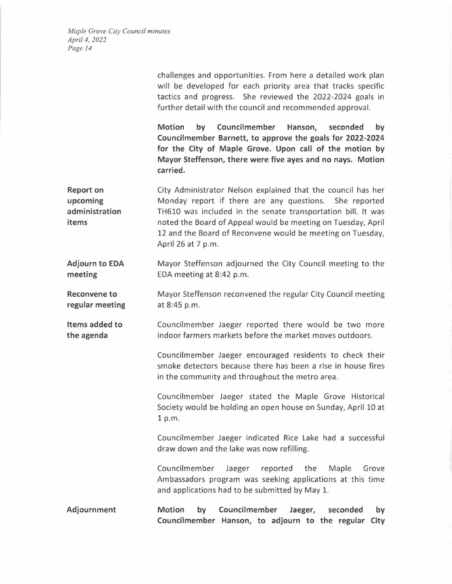|                                                         | challenges and opportunities. From here a detailed work plan<br>will be developed for each priority area that tracks specific<br>tactics and progress. She reviewed the 2022-2024 goals in<br>further detail with the council and recommended approval.                                                                                    |  |  |  |  |  |
|---------------------------------------------------------|--------------------------------------------------------------------------------------------------------------------------------------------------------------------------------------------------------------------------------------------------------------------------------------------------------------------------------------------|--|--|--|--|--|
|                                                         | Councilmember<br><b>Motion</b><br>by<br>Hanson,<br>seconded<br>by<br>Councilmember Barnett, to approve the goals for 2022-2024<br>for the City of Maple Grove. Upon call of the motion by<br>Mayor Steffenson, there were five ayes and no nays. Motion<br>carried.                                                                        |  |  |  |  |  |
| <b>Report on</b><br>upcoming<br>administration<br>items | City Administrator Nelson explained that the council has her<br>Monday report if there are any questions. She reported<br>TH610 was included in the senate transportation bill. It was<br>noted the Board of Appeal would be meeting on Tuesday, April<br>12 and the Board of Reconvene would be meeting on Tuesday,<br>April 26 at 7 p.m. |  |  |  |  |  |
| <b>Adjourn to EDA</b><br>meeting                        | Mayor Steffenson adjourned the City Council meeting to the<br>EDA meeting at 8:42 p.m.                                                                                                                                                                                                                                                     |  |  |  |  |  |
| <b>Reconvene to</b><br>regular meeting                  | Mayor Steffenson reconvened the regular City Council meeting<br>at 8:45 p.m.                                                                                                                                                                                                                                                               |  |  |  |  |  |
| Items added to<br>the agenda                            | Councilmember Jaeger reported there would be two more<br>indoor farmers markets before the market moves outdoors.                                                                                                                                                                                                                          |  |  |  |  |  |
|                                                         | Councilmember Jaeger encouraged residents to check their<br>smoke detectors because there has been a rise in house fires<br>in the community and throughout the metro area.                                                                                                                                                                |  |  |  |  |  |
|                                                         | Councilmember Jaeger stated the Maple Grove Historical<br>Society would be holding an open house on Sunday, April 10 at<br>1 p.m.                                                                                                                                                                                                          |  |  |  |  |  |
|                                                         | Councilmember Jaeger indicated Rice Lake had a successful<br>draw down and the lake was now refilling.                                                                                                                                                                                                                                     |  |  |  |  |  |
|                                                         | Councilmember<br>reported<br>the<br>Jaeger<br>Maple<br>Grove<br>Ambassadors program was seeking applications at this time<br>and applications had to be submitted by May 1.                                                                                                                                                                |  |  |  |  |  |
| Adjournment                                             | Councilmember<br><b>Motion</b><br>Jaeger,<br>by<br>seconded<br>by<br>Councilmember Hanson, to adjourn to the regular City                                                                                                                                                                                                                  |  |  |  |  |  |